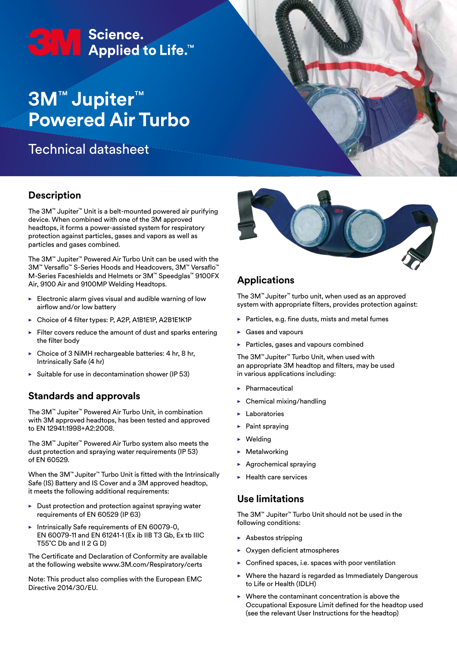# <del>C</del>M Science.<br>
Applied to Life.™

# **3M**™ **Jupiter**™ **Powered Air Turbo**

Technical datasheet

# **Description**

The 3M™ Jupiter™ Unit is a belt-mounted powered air purifying device. When combined with one of the 3M approved headtops, it forms a power-assisted system for respiratory protection against particles, gases and vapors as well as particles and gases combined.

The 3M™ Jupiter™ Powered Air Turbo Unit can be used with the 3M™ Versaflo™ S-Series Hoods and Headcovers, 3M™ Versaflo™ M-Series Faceshields and Helmets or 3M™ Speedglas™ 9100FX Air, 9100 Air and 9100MP Welding Headtops.

- $\blacktriangleright$  Electronic alarm gives visual and audible warning of low airflow and/or low battery
- Choice of 4 filter types: P, A2P, A1B1E1P, A2B1E1K1P
- $\blacktriangleright$  Filter covers reduce the amount of dust and sparks entering the filter body
- Choice of 3 NiMH rechargeable batteries: 4 hr, 8 hr, Intrinsically Safe (4 hr)
- $\triangleright$  Suitable for use in decontamination shower (IP 53)

# **Standards and approvals**

The 3M™ Jupiter™ Powered Air Turbo Unit, in combination with 3M approved headtops, has been tested and approved to EN 12941:1998+A2:2008.

The 3M™ Jupiter™ Powered Air Turbo system also meets the dust protection and spraying water requirements (IP 53) of EN 60529.

When the 3M™ Jupiter™ Turbo Unit is fitted with the Intrinsically Safe (IS) Battery and IS Cover and a 3M approved headtop, it meets the following additional requirements:

- Dust protection and protection against spraying water requirements of EN 60529 (IP 63)
- Intrinsically Safe requirements of EN 60079-0, EN 60079-11 and EN 61241-1 (Ex ib IIB T3 Gb, Ex tb IIIC T55˚C Db and II 2 G D)

The Certificate and Declaration of Conformity are available at the following website www.3M.com/Respiratory/certs

Note: This product also complies with the European EMC Directive 2014/30/EU.



# **Applications**

The 3M™ Jupiter™ turbo unit, when used as an approved system with appropriate filters, provides protection against:

- Particles, e.g. fine dusts, mists and metal fumes
- Gases and vapours
- Particles, gases and vapours combined

The 3M™ Jupiter™ Turbo Unit, when used with an appropriate 3M headtop and filters, may be used in various applications including:

- Pharmaceutical
- Chemical mixing/handling
- **Laboratories**
- Paint spraying
- **Welding**
- **Metalworking**
- Agrochemical spraying
- Health care services

#### **Use limitations**

The 3M™ Jupiter™ Turbo Unit should not be used in the following conditions:

- Asbestos stripping
- Oxygen deficient atmospheres
- $\triangleright$  Confined spaces, i.e. spaces with poor ventilation
- Where the hazard is regarded as Immediately Dangerous to Life or Health (IDLH)
- $\triangleright$  Where the contaminant concentration is above the Occupational Exposure Limit defined for the headtop used (see the relevant User Instructions for the headtop)